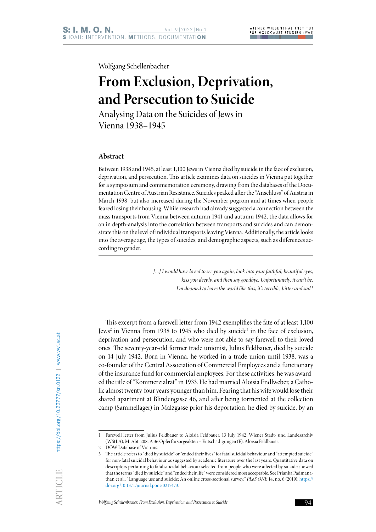Wolfgang Schellenbacher

# **From Exclusion, Deprivation, and Persecution to Suicide**

Analysing Data on the Suicides of Jews in Vienna 1938–1945

## **Abstract**

Between 1938 and 1945, at least 1,100 Jews in Vienna died by suicide in the face of exclusion, deprivation, and persecution. This article examines data on suicides in Vienna put together for a symposium and commemoration ceremony, drawing from the databases of the Documentation Centre of Austrian Resistance. Suicides peaked after the "Anschluss" of Austria in March 1938, but also increased during the November pogrom and at times when people feared losing their housing. While research had already suggested a connection between the mass transports from Vienna between autumn 1941 and autumn 1942, the data allows for an in depth-analysis into the correlation between transports and suicides and can demonstrate this on the level of individual transports leaving Vienna. Additionally, the article looks into the average age, the types of suicides, and demographic aspects, such as differences according to gender.

> *[…] I would have loved to see you again, look into your faithful, beautiful eyes, kiss you deeply, and then say goodbye. Unfortunately, it can't be,*  I'm doomed to leave the world like this, it's terrible, bitter and sad.<sup>1</sup>

This excerpt from a farewell letter from 1942 exemplifies the fate of at least 1,100 Jews<sup>2</sup> in Vienna from 1938 to 1945 who died by suicide<sup>3</sup> in the face of exclusion, deprivation and persecution, and who were not able to say farewell to their loved ones. The seventy-year-old former trade unionist, Julius Feldbauer, died by suicide on 14 July 1942. Born in Vienna, he worked in a trade union until 1938, was a co-founder of the Central Association of Commercial Employees and a functionary of the insurance fund for commercial employees. For these activities, he was awarded the title of "Kommerzialrat" in 1933. He had married Aloisia Endlweber, a Catholic almost twenty-four years younger than him. Fearing that his wife would lose their shared apartment at Blindengasse 46, and after being tormented at the collection camp (Sammellager) in Malzgasse prior his deportation, he died by suicide, by an

<sup>1</sup> Farewell letter from Julius Feldbauer to Aloisia Feldbauer, 13 July 1942, Wiener Stadt- und Landesarchiv (WStLA), M. Abt. 208, A 36 Opferfürsorgeakten – Entschädigungen (E), Aloisia Feldbauer.

<sup>2</sup> DÖW Database of Victims.

<sup>3</sup> The article refers to "died by suicide" or "ended their lives" for fatal suicidal behaviour and "attempted suicide" for non-fatal suicidal behaviour as suggested by academic literature over the last years. Quantitative data on descriptors pertaining to fatal suicidal behaviour selected from people who were affected by suicide showed that the terms "died by suicide" and "ended their life" were considered most acceptable. See Prianka Padmanathan et al., "Language use and suicide: An online cross-sectional survey," *PLoS ONE* 14, no. 6 (2019): https:// doi.org/10.1371/journal.pone.0217473.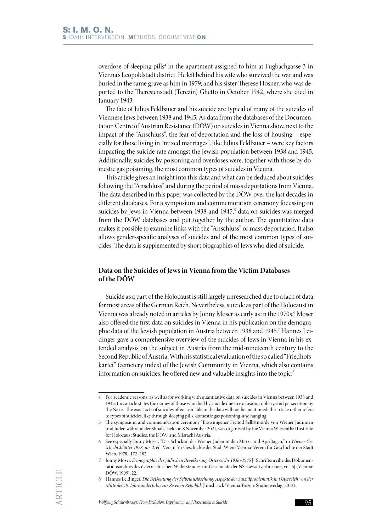overdose of sleeping pills<sup>4</sup> in the apartment assigned to him at Fugbachgasse 3 in Vienna's Leopoldstadt district. He left behind his wife who survived the war and was buried in the same grave as him in 1979, and his sister Therese Hosner, who was deported to the Theresienstadt (Terezín) Ghetto in October 1942, where she died in January 1943.

The fate of Julius Feldbauer and his suicide are typical of many of the suicides of Viennese Jews between 1938 and 1945. As data from the databases of the Documentation Centre of Austrian Resistance (DÖW) on suicides in Vienna show, next to the impact of the "Anschluss", the fear of deportation and the loss of housing – especially for those living in "mixed marriages", like Julius Feldbauer – were key factors impacting the suicide rate amongst the Jewish population between 1938 and 1945. Additionally, suicides by poisoning and overdoses were, together with those by domestic gas poisoning, the most common types of suicides in Vienna.

This article gives an insight into this data and what can be deduced about suicides following the "Anschluss" and during the period of mass deportations from Vienna. The data described in this paper was collected by the DÖW over the last decades in different databases. For a symposium and commemoration ceremony focussing on suicides by Jews in Vienna between 1938 and 1945,<sup>5</sup> data on suicides was merged from the DÖW databases and put together by the author. The quantitative data makes it possible to examine links with the "Anschluss" or mass deportation. It also allows gender-specific analyses of suicides and of the most common types of suicides. The data is supplemented by short biographies of Jews who died of suicide.

# **Data on the Suicides of Jews in Vienna from the Victim Databases of the DÖW**

Suicide as a part of the Holocaust is still largely unresearched due to a lack of data for most areas of the German Reich. Nevertheless, suicide as part of the Holocaust in Vienna was already noted in articles by Jonny Moser as early as in the 1970s.<sup>6</sup> Moser also offered the first data on suicides in Vienna in his publication on the demographic data of the Jewish population in Austria between 1938 and 1945.<sup>7</sup> Hannes Leidinger gave a comprehensive overview of the suicides of Jews in Vienna in his extended analysis on the subject in Austria from the mid-nineteenth century to the Second Republic of Austria. With his statistical evaluation of the so called "Friedhofskartei" (cemetery index) of the Jewish Community in Vienna, which also contains information on suicides, he offered new and valuable insights into the topic.<sup>8</sup>

<sup>4</sup> For academic reasons, as well as for working with quantitative data on suicides in Vienna between 1938 and 1945, this article states the names of those who died by suicide due to exclusion, robbery, and persecution by the Nazis. The exact acts of suicides often available in the data will not be mentioned; the article rather refers to types of suicides, like through sleeping pills, domestic gas poisoning, and hanging.

<sup>5</sup> The symposium and commemoration ceremony "Erzwungener Freitod Selbstmorde von Wiener Jüdinnen und Juden während der Shoah," held on 8 November 2021, was organised by the Vienna Wiesenthal Institute for Holocaust Studies, the DÖW, and Misrachi Austria.

<sup>6</sup> See especially Jonny Moser, "Das Schicksal der Wiener Juden in den März- und Apriltagen," in *Wiener Geschichtsblätter 1978, no. 2*, ed. Verein für Geschichte der Stadt Wien (Vienna: Verein für Geschichte der Stadt Wien, 1978), 172–182.

<sup>7</sup> Jonny Moser, *Demographie der jüdischen Bevölkerung Österreichs 1938–1945* [=Schriftenreihe des Dokumentationsarchivs des österreichischen Widerstandes zur Geschichte der NS-Gewaltverbrechen, vol. 5] (Vienna: DÖW, 1999), 22.

<sup>8</sup> Hannes Leidinger, *Die BeDeutung der Selbstauslöschung. Aspekte der Suizidproblematik in Österreich von der Mitte des 19. Jahrhunderts bis zur Zweiten Republik* (Innsbruck/Vienna/Bozen: Studienverlag, 2012).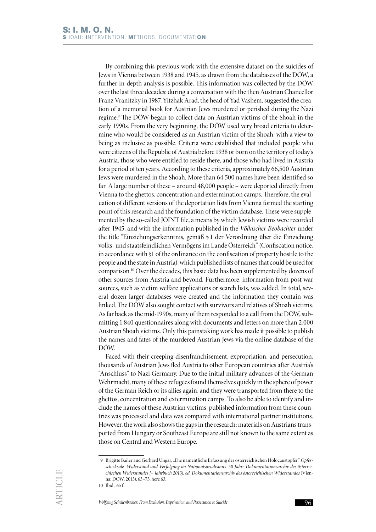By combining this previous work with the extensive dataset on the suicides of Jews in Vienna between 1938 and 1945, as drawn from the databases of the DÖW, a further in-depth analysis is possible. This information was collected by the DÖW over the last three decades: during a conversation with the then Austrian Chancellor Franz Vranitzky in 1987, Yitzhak Arad, the head of Yad Vashem, suggested the creation of a memorial book for Austrian Jews murdered or perished during the Nazi regime.<sup>9</sup> The DÖW began to collect data on Austrian victims of the Shoah in the early 1990s. From the very beginning, the DÖW used very broad criteria to determine who would be considered as an Austrian victim of the Shoah, with a view to being as inclusive as possible. Criteria were established that included people who were citizens of the Republic of Austria before 1938 or born on the territory of today's Austria, those who were entitled to reside there, and those who had lived in Austria for a period of ten years. According to these criteria, approximately 66,500 Austrian Jews were murdered in the Shoah. More than 64,500 names have been identified so far. A large number of these – around 48,000 people – were deported directly from Vienna to the ghettos, concentration and extermination camps. Therefore, the evaluation of different versions of the deportation lists from Vienna formed the starting point of this research and the foundation of the victim database. These were supplemented by the so-called JOINT file, a means by which Jewish victims were recorded after 1945, and with the information published in the *Völkischer Beobachter* under the title "Einziehungserkenntnis, gemäß § 1 der Verordnung über die Einziehung volks- und staatsfeindlichen Vermögens im Lande Österreich" (Confiscation notice, in accordance with §1 of the ordinance on the confiscation of property hostile to the people and the state in Austria), which published lists of names that could be used for comparison.10 Over the decades, this basic data has been supplemented by dozens of other sources from Austria and beyond. Furthermore, information from post-war sources, such as victim welfare applications or search lists, was added. In total, several dozen larger databases were created and the information they contain was linked. The DÖW also sought contact with survivors and relatives of Shoah victims. As far back as the mid-1990s, many of them responded to a call from the DÖW, submitting 1,840 questionnaires along with documents and letters on more than 2,000 Austrian Shoah victims. Only this painstaking work has made it possible to publish the names and fates of the murdered Austrian Jews via the online database of the DÖW.

Faced with their creeping disenfranchisement, expropriation, and persecution, thousands of Austrian Jews fled Austria to other European countries after Austria's "Anschluss" to Nazi Germany. Due to the initial military advances of the German Wehrmacht, many of these refugees found themselves quickly in the sphere of power of the German Reich or its allies again, and they were transported from there to the ghettos, concentration and extermination camps. To also be able to identify and include the names of these Austrian victims, published information from these countries was processed and data was compared with international partner institutions. However, the work also shows the gaps in the research: materials on Austrians transported from Hungary or Southeast Europe are still not known to the same extent as those on Central and Western Europe.

<sup>9</sup> Brigitte Bailer and Gerhard Ungar, "Die namentliche Erfassung der österreichischen Holocaustopfer," Opfer*schicksale. Widerstand und Verfolgung im Nationalsozialismus. 50 Jahre Dokumentationsarchiv des österreichischen Widerstandes [= Jahrbuch 2013], ed. Dokumentationsarchiv des österreichischen Widerstandes* (Vienna: DÖW, 2013), 63–73, here 63.

<sup>10</sup> Ibid., 65 f.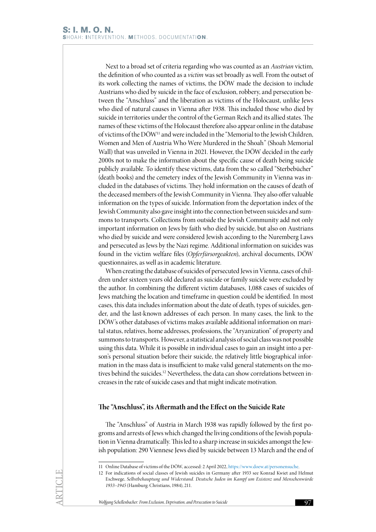Next to a broad set of criteria regarding who was counted as an *Austrian* victim, the definition of who counted as a *victim* was set broadly as well. From the outset of its work collecting the names of victims, the DÖW made the decision to include Austrians who died by suicide in the face of exclusion, robbery, and persecution between the "Anschluss" and the liberation as victims of the Holocaust, unlike Jews who died of natural causes in Vienna after 1938. This included those who died by suicide in territories under the control of the German Reich and its allied states. The names of these victims of the Holocaust therefore also appear online in the database of victims of the DÖW11 and were included in the "Memorial to the Jewish Children, Women and Men of Austria Who Were Murdered in the Shoah" (Shoah Memorial Wall) that was unveiled in Vienna in 2021. However, the DÖW decided in the early 2000s not to make the information about the specific cause of death being suicide publicly available. To identify these victims, data from the so called "Sterbebücher" (death books) and the cemetery index of the Jewish Community in Vienna was included in the databases of victims. They hold information on the causes of death of the deceased members of the Jewish Community in Vienna. They also offer valuable information on the types of suicide. Information from the deportation index of the Jewish Community also gave insight into the connection between suicides and summons to transports. Collections from outside the Jewish Community add not only important information on Jews by faith who died by suicide, but also on Austrians who died by suicide and were considered Jewish according to the Nuremberg Laws and persecuted as Jews by the Nazi regime. Additional information on suicides was found in the victim welfare files (*Opferfürsorgeakten*), archival documents, DÖW questionnaires, as well as in academic literature.

When creating the database of suicides of persecuted Jews in Vienna, cases of children under sixteen years old declared as suicide or family suicide were excluded by the author. In combining the different victim databases, 1,088 cases of suicides of Jews matching the location and timeframe in question could be identified. In most cases, this data includes information about the date of death, types of suicides, gender, and the last-known addresses of each person. In many cases, the link to the DÖW's other databases of victims makes available additional information on marital status, relatives, home addresses, professions, the "Aryanization" of property and summons to transports. However, a statistical analysis of social class was not possible using this data. While it is possible in individual cases to gain an insight into a person's personal situation before their suicide, the relatively little biographical information in the mass data is insufficient to make valid general statements on the motives behind the suicides.<sup>12</sup> Nevertheless, the data can show correlations between increases in the rate of suicide cases and that might indicate motivation.

## **The "Anschluss", its Aftermath and the Effect on the Suicide Rate**

The "Anschluss" of Austria in March 1938 was rapidly followed by the first pogroms and arrests of Jews which changed the living conditions of the Jewish population in Vienna dramatically. This led to a sharp increase in suicides amongst the Jewish population: 290 Viennese Jews died by suicide between 13 March and the end of

<sup>11</sup> Online Database of victims of the DÖW, accessed: 2 April 2022, [https://www.doew.at/personensuche.](https://www.doew.at/personensuche)

<sup>12</sup> For indications of social classes of Jewish suicides in Germany after 1933 see Konrad Kwiet and Helmut Eschwege, *Selbstbehauptung und Widerstand. Deutsche Juden im Kampf um Existenz und Menschenwürde 1933–1945* (Hamburg: Christians, 1984), 211.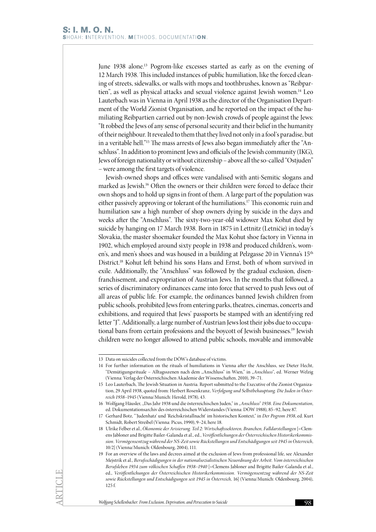June 1938 alone.<sup>13</sup> Pogrom-like excesses started as early as on the evening of 12 March 1938. This included instances of public humiliation, like the forced cleaning of streets, sidewalks, or walls with mops and toothbrushes, known as "Reibpartien", as well as physical attacks and sexual violence against Jewish women.14 Leo Lauterbach was in Vienna in April 1938 as the director of the Organisation Department of the World Zionist Organisation, and he reported on the impact of the humiliating Reibpartien carried out by non-Jewish crowds of people against the Jews: "It robbed the Jews of any sense of personal security and their belief in the humanity of their neighbour. It revealed to them that they lived not only in a fool's paradise, but in a veritable hell."15 The mass arrests of Jews also began immediately after the "Anschluss". In addition to prominent Jews and officials of the Jewish community (IKG), Jews of foreign nationality or without citizenship – above all the so-called "Ostjuden" – were among the first targets of violence.

Jewish-owned shops and offices were vandalised with anti-Semitic slogans and marked as Jewish.<sup>16</sup> Often the owners or their children were forced to deface their own shops and to hold up signs in front of them. A large part of the population was either passively approving or tolerant of the humiliations.17 This economic ruin and humiliation saw a high number of shop owners dying by suicide in the days and weeks after the "Anschluss". The sixty-two-year-old widower Max Kohut died by suicide by hanging on 17 March 1938. Born in 1875 in Lettnitz (Letničie) in today's Slovakia, the master shoemaker founded the Max Kohut shoe factory in Vienna in 1902, which employed around sixty people in 1938 and produced children's, women's, and men's shoes and was housed in a building at Pelzgasse 20 in Vienna's 15<sup>th</sup> District.18 Kohut left behind his sons Hans and Ernst, both of whom survived in exile. Additionally, the "Anschluss" was followed by the gradual exclusion, disenfranchisement, and expropriation of Austrian Jews. In the months that followed, a series of discriminatory ordinances came into force that served to push Jews out of all areas of public life. For example, the ordinances banned Jewish children from public schools, prohibited Jews from entering parks, theatres, cinemas, concerts and exhibitions, and required that Jews' passports be stamped with an identifying red letter "J". Additionally, a large number of Austrian Jews lost their jobs due to occupational bans from certain professions and the boycott of Jewish businesses.19 Jewish children were no longer allowed to attend public schools, movable and immovable

<sup>13</sup> Data on suicides collected from the DÖW's database of victims.

<sup>14</sup> For further information on the rituals of humiliations in Vienna after the Anschluss, see Dieter Hecht, "Demütigungsrituale – Alltagsszenen nach dem "Anschluss" in Wien," in *"Anschluss"*, ed. Werner Welzig (Vienna: Verlag der Österreichischen Akademie der Wissenschaften, 2010), 39–71.

<sup>15</sup> Leo Lauterbach, The Jewish Situation in Austria. Report submitted to the Executive of the Zionist Organization, 29 April 1938, quoted from: Herbert Rosenkranz, *Verfolgung und Selbstbehauptung. Die Juden in Österreich 1938–*1945 (Vienna/Munich: Herold, 1978), 43.

<sup>16</sup> Wolfgang Häusler, "Das Jahr 1938 und die österreichischen Juden," in *"Anschluss" 1938. Eine Dokumentation*, ed. Dokumentationsarchiv des österreichischen Widerstandes (Vienna: DÖW 1988), 85–92, here 87.

<sup>17</sup> Gerhard Botz, "'Judenhatz' und 'Reichskristallnacht' im historischen Kontext," in *Der Pogrom 1938*, ed. Kurt Schmidt, Robert Streibel (Vienna: Picus, 1990), 9–24, here 18.

<sup>18</sup> Ulrike Felber et al., *Ökonomie der Arisierung. Teil 2: Wirtschaftssektoren, Branchen, Falldarstellungen* [=Clemens Jabloner and Brigitte Bailer-Galanda et al., ed., *Veröffentlichungen der Österreichischen Historikerkommission. Vermögensentzug während der NS-Zeit sowie Rückstellungen und Entschädigungen seit 1945 in Österreich*, 10/2] (Vienna/Munich: Oldenbourg, 2004), 111.

<sup>19</sup> For an overview of the laws and decrees aimed at the exclusion of Jews from professional life, see Alexander Mejstrik et al., *Berufsschädigungen in der nationalsozialistischen Neuordnung der Arbeit. Vom österreichischen Berufsleben 1934 zum völkischen Schaffen 1938–1940* [=Clemens Jabloner and Brigitte Bailer-Galanda et al., ed., *Veröffentlichungen der Österreichischen Historikerkommission. Vermögensentzug während der NS-Zeit sowie Rückstellungen und Entschädigungen seit 1945 in Österreich,* 16] (Vienna/Munich: Oldenbourg, 2004), 125 f.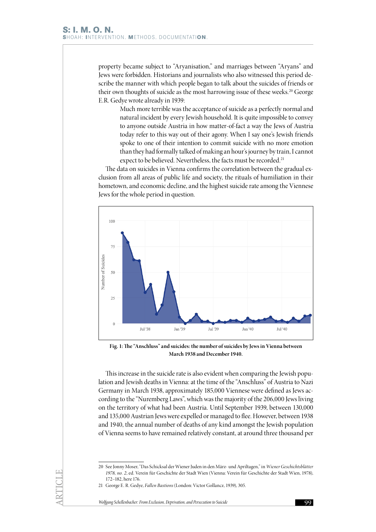property became subject to "Aryanisation," and marriages between "Aryans" and Jews were forbidden. Historians and journalists who also witnessed this period describe the manner with which people began to talk about the suicides of friends or their own thoughts of suicide as the most harrowing issue of these weeks.<sup>20</sup> George E.R. Gedye wrote already in 1939:

> Much more terrible was the acceptance of suicide as a perfectly normal and natural incident by every Jewish household. It is quite impossible to convey to anyone outside Austria in how matter-of-fact a way the Jews of Austria today refer to this way out of their agony. When I say one's Jewish friends spoke to one of their intention to commit suicide with no more emotion than they had formally talked of making an hour's journey by train, I cannot expect to be believed. Nevertheless, the facts must be recorded.<sup>21</sup>

The data on suicides in Vienna confirms the correlation between the gradual exclusion from all areas of public life and society, the rituals of humiliation in their hometown, and economic decline, and the highest suicide rate among the Viennese Jews for the whole period in question.



**Fig. 1: The "Anschluss" and suicides: the number of suicides by Jews in Vienna between March 1938 and December 1940.**

This increase in the suicide rate is also evident when comparing the Jewish population and Jewish deaths in Vienna: at the time of the "Anschluss" of Austria to Nazi Germany in March 1938, approximately 185,000 Viennese were defined as Jews according to the "Nuremberg Laws", which was the majority of the 206,000 Jews living on the territory of what had been Austria. Until September 1939, between 130,000 and 135,000 Austrian Jews were expelled or managed to flee. However, between 1938 and 1940, the annual number of deaths of any kind amongst the Jewish population of Vienna seems to have remained relatively constant, at around three thousand per

<sup>20</sup> See Jonny Moser, "Das Schicksal der Wiener Juden in den März- und Apriltagen," in *Wiener Geschichtsblätter 1978, no. 2*, ed. Verein für Geschichte der Stadt Wien (Vienna: Verein für Geschichte der Stadt Wien, 1978), 172–182, here 176.

<sup>21</sup> George E. R. Gedye, *Fallen Bastions* (London: Victor Gollancz, 1939), 305.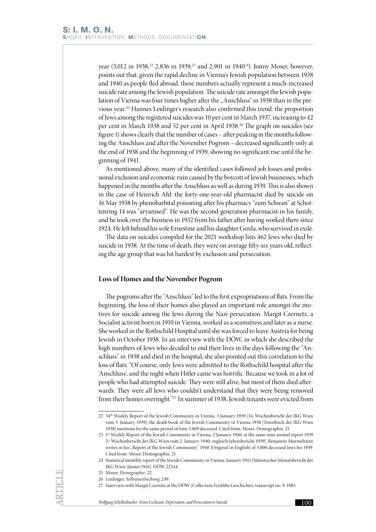year (3,012 in 1938,<sup>22</sup> 2,836 in 1939,<sup>23</sup> and 2,901 in 1940<sup>24</sup>). Jonny Moser, however, points out that, given the rapid decline in Vienna's Jewish population between 1938 and 1940 as people fled abroad, these numbers actually represent a much-increased suicide rate among the Jewish population. The suicide rate amongst the Jewish population of Vienna was four times higher after the "Anschluss" in 1938 than in the previous year.25 Hannes Leidinger's research also confirmed this trend: the proportion of Jews among the registered suicides was 10 per cent in March 1937, increasing to 42 per cent in March 1938 and 52 per cent in April 1938.<sup>26</sup> The graph on suicides (see figure 1) shows clearly that the number of cases – after peaking in the months following the Anschluss and after the November Pogrom – decreased significantly only at the end of 1938 and the beginning of 1939, showing no significant rise until the beginning of 1941.

As mentioned above, many of the identified cases followed job losses and professional exclusion and economic ruin caused by the boycott of Jewish businesses, which happened in the months after the Anschluss as well as during 1939. This is also shown in the case of Heinrich Ahl: the forty-one-year-old pharmacist died by suicide on 16 May 1938 by phenobarbital poisoning after his pharmacy "zum Schwan" at Schottenring 14 was "aryanised". He was the second-generation pharmacist in his family, and he took over the business in 1932 from his father after having worked there since 1924. He left behind his wife Ernestine and his daughter Gerda, who survived in exile.

The data on suicides compiled for the 2021 workshop lists 462 Jews who died by suicide in 1938. At the time of death, they were on average fifty-six years old, reflecting the age group that was hit hardest by exclusion and persecution.

#### **Loss of Homes and the November Pogrom**

The pogroms after the "Anschluss" led to the first expropriations of flats. From the beginning, the loss of their homes also played an important role amongst the motives for suicide among the Jews during the Nazi persecution. Margit Czernetz, a Socialist activist born in 1910 in Vienna, worked as a seamstress and later as a nurse. She worked in the Rothschild Hospital until she was forced to leave Austria for being Jewish in October 1938. In an interview with the DÖW, in which she described the high numbers of Jews who decided to end their lives in the days following the "Anschluss" in 1938 and died in the hospital, she also pointed out this correlation to the loss of flats: "Of course, only Jews were admitted to the Rothschild hospital after the 'Anschluss', and the night when Hitler came was horrific. Because we took in a lot of people who had attempted suicide. They were still alive, but most of them died afterwards. They were all Jews who couldn't understand that they were being removed from their homes overnight."27 In summer of 1938, Jewish tenants were evicted from

<sup>22</sup> 34th Weekly Report of the Jewish Community in Vienna, 3 January 1939 [34. Wochenbericht der IKG Wien vom 3. January 1939]; the death book of the Jewish Community in Vienna 1938 [Totenbuch der IKG Wien 1938] mentions for the same period of time 3,069 deceased. Cited from: Moser, Demographie, 21.

<sup>23</sup> 1st Weekly Report of the Jewish Community in Vienna, 2 January 1940, at the same time annual report 1939 [1. Wochenbericht der IKG Wien vom 2. January 1940, zugleich Jahresbericht 1939]. Benjamin Murmelstein writes in his "Report of the Jewish Community" 1940 [Original in English] of 3,000 deceased Jews for 1939. Cited from: Moser, Demographie, 21.

<sup>24</sup> Statistical monthly report of the Jewish Community in Vienna, January 1941 [Statistischer Monatsbericht der IKG Wien, Jänner 1941]. DÖW 22344.

<sup>25</sup> Moser, *Demographie*, 22.

<sup>26</sup> Leidinger, *Selbstauslöschung*, 249.

<sup>27</sup> Interview with Margit Czernitz at the DÖW (Collection Erzählte Geschichte), transcript no. 9, 1983.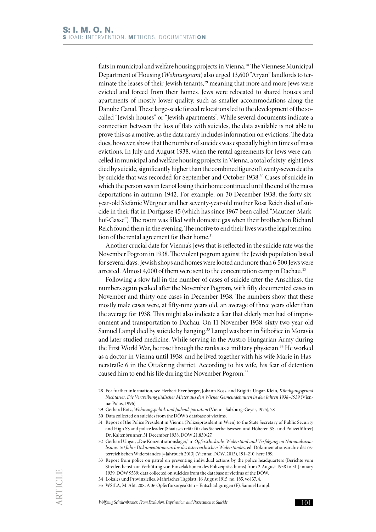flats in municipal and welfare housing projects in Vienna.28 The Viennese Municipal Department of Housing (*Wohnungsamt*) also urged 13,600 "Aryan" landlords to terminate the leases of their Jewish tenants,<sup>29</sup> meaning that more and more Jews were evicted and forced from their homes. Jews were relocated to shared houses and apartments of mostly lower quality, such as smaller accommodations along the Danube Canal. These large-scale forced relocations led to the development of the socalled "Jewish houses" or "Jewish apartments". While several documents indicate a connection between the loss of flats with suicides, the data available is not able to prove this as a motive, as the data rarely includes information on evictions. The data does, however, show that the number of suicides was especially high in times of mass evictions. In July and August 1938, when the rental agreements for Jews were cancelled in municipal and welfare housing projects in Vienna, a total of sixty-eight Jews died by suicide, significantly higher than the combined figure of twenty-seven deaths by suicide that was recorded for September and October 1938.30 Cases of suicide in which the person was in fear of losing their home continued until the end of the mass deportations in autumn 1942. For example, on 30 December 1938, the forty-sixyear-old Stefanie Würgner and her seventy-year-old mother Rosa Reich died of suicide in their flat in Dorfgasse 45 (which has since 1967 been called "Mautner-Markhof-Gasse"). The room was filled with domestic gas when their brother/son Richard Reich found them in the evening. The motive to end their lives was the legal termination of the rental agreement for their home.<sup>31</sup>

Another crucial date for Vienna's Jews that is reflected in the suicide rate was the November Pogrom in 1938. The violent pogrom against the Jewish population lasted for several days. Jewish shops and homes were looted and more than 6,500 Jews were arrested. Almost 4,000 of them were sent to the concentration camp in Dachau.<sup>32</sup>

Following a slow fall in the number of cases of suicide after the Anschluss, the numbers again peaked after the November Pogrom, with fifty documented cases in November and thirty-one cases in December 1938. The numbers show that these mostly male cases were, at fifty-nine years old, an average of three years older than the average for 1938. This might also indicate a fear that elderly men had of imprisonment and transportation to Dachau. On 11 November 1938, sixty-two-year-old Samuel Lampl died by suicide by hanging.33 Lampl was born in Šitbořice in Moravia and later studied medicine. While serving in the Austro-Hungarian Army during the First World War, he rose through the ranks as a military physician.<sup>34</sup> He worked as a doctor in Vienna until 1938, and he lived together with his wife Marie in Hasnerstraße 6 in the Ottakring district. According to his wife, his fear of detention caused him to end his life during the November Pogrom.35

<sup>28</sup> For further information, see Herbert Exenberger, Johann Koss, and Brigitta Ungar-Klein, *Kündigungsgrund Nichtarier, Die Vertreibung jüdischer Mieter aus den Wiener Gemeindebauten in den Jahren 1938–1939* (Vienna: Picus, 1996).

<sup>29</sup> Gerhard Botz, *Wohnungspolitik und Judendeportation* (Vienna Salzburg: Geyer, 1975), 78.

<sup>30</sup> Data collected on suicides from the DÖW's database of victims.

<sup>31</sup> Report of the Police President in Vienna (Polizeipräsident in Wien) to the State Secretary of Public Security and High SS and police leader (Staatssekretär für das Sicherheitswesen und Höheren SS- und Polizeiführer) Dr. Kaltenbrunner, 31 December 1938. DÖW 21.830/27.

<sup>32</sup> Gerhard Ungar, "Die Konzentrationslager," in Opferschicksale. Widerstand und Verfolgung im Nationalsozia*lismus. 50 Jahre Dokumentationsarchiv des österreichischen Widerstandes*, ed. Dokumentationsarchiv des österreichischen Widerstandes [=Jahrbuch 2013] (Vienna: DÖW, 2013), 191–210, here 199.

<sup>33</sup> Report from police on patrol on preventing individual actions by the police headquarters (Berichte vom Streifendienst zur Verhütung von Einzelaktionen des Polizeipräsidiums) from 2 August 1938 to 31 January 1939, DÖW 9539; data collected on suicides from the database of victims of the DÖW.

<sup>34</sup> Lokales und Provinzielles, Mährisches Tagblatt, 16 August 1915, no. 185, vol 37, 4.

<sup>35</sup> WStLA, M. Abt. 208, A 36 Opferfürsorgeakten – Entschädigungen (E), Samuel Lampl.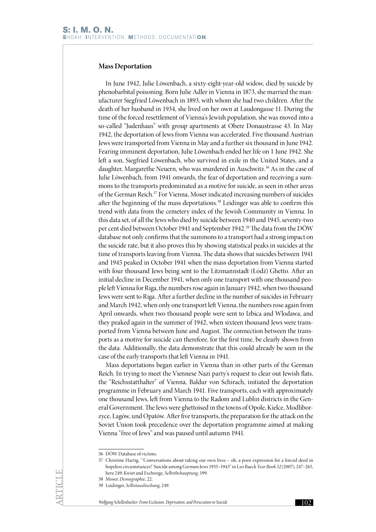## **Mass Deportation**

In June 1942, Julie Löwenbach, a sixty-eight-year-old widow, died by suicide by phenobarbital poisoning. Born Julie Adler in Vienna in 1873, she married the manufacturer Siegfried Löwenbach in 1893, with whom she had two children. After the death of her husband in 1934, she lived on her own at Laudongasse 11. During the time of the forced resettlement of Vienna's Jewish population, she was moved into a so-called "Judenhaus" with group apartments at Obere Donaustrasse 43. In May 1942, the deportation of Jews from Vienna was accelerated. Five thousand Austrian Jews were transported from Vienna in May and a further six thousand in June 1942. Fearing imminent deportation, Julie Löwenbach ended her life on 1 June 1942. She left a son, Siegfried Löwenbach, who survived in exile in the United States, and a daughter, Margarethe Neuern, who was murdered in Auschwitz.<sup>36</sup> As in the case of Julie Löwenbach, from 1941 onwards, the fear of deportation and receiving a summons to the transports predominated as a motive for suicide, as seen in other areas of the German Reich.37 For Vienna, Moser indicated increasing numbers of suicides after the beginning of the mass deportations.<sup>38</sup> Leidinger was able to confirm this trend with data from the cemetery index of the Jewish Community in Vienna. In this data set, of all the Jews who died by suicide between 1940 and 1945, seventy-two per cent died between October 1941 and September 1942.<sup>39</sup> The data from the DÖW database not only confirms that the summons to a transport had a strong impact on the suicide rate, but it also proves this by showing statistical peaks in suicides at the time of transports leaving from Vienna. The data shows that suicides between 1941 and 1945 peaked in October 1941 when the mass deportation from Vienna started with four thousand Jews being sent to the Litzmannstadt (Łódź) Ghetto. After an initial decline in December 1941, when only one transport with one thousand people left Vienna for Riga, the numbers rose again in January 1942, when two thousand Jews were sent to Riga. After a further decline in the number of suicides in February and March 1942, when only one transport left Vienna, the numbers rose again from April onwards, when two thousand people were sent to Izbica and Wlodawa, and they peaked again in the summer of 1942, when sixteen thousand Jews were transported from Vienna between June and August. The connection between the transports as a motive for suicide can therefore, for the first time, be clearly shown from the data. Additionally, the data demonstrate that this could already be seen in the case of the early transports that left Vienna in 1941.

Mass deportations began earlier in Vienna than in other parts of the German Reich. In trying to meet the Viennese Nazi party's request to clear out Jewish flats, the "Reichsstatthalter" of Vienna, Baldur von Schirach, initiated the deportation programme in February and March 1941. Five transports, each with approximately one thousand Jews, left from Vienna to the Radom and Lublin districts in the General Government. The Jews were ghettoised in the towns of Opole, Kielce, Modliborzyce, Lagów, und Opatów. After five transports, the preparation for the attack on the Soviet Union took precedence over the deportation programme aimed at making Vienna "free of Jews" and was paused until autumn 1941.

<sup>36</sup> DÖW Database of victims.

<sup>37</sup> Christine Hartig, "'Conversations about taking our own lives – oh, a poor expression for a forced deed in hopeless circumstances!' Suicide among German Jews 1933–1943" in Leo Baeck *Year Book 52* (2007), 247–265, here 249; Kwiet and Eschwege, *Selbstbehauptung*, 199.

<sup>38</sup> Moser, *Demographie*, 22.

<sup>39</sup> Leidinger, *Selbstauslöschung*, 249.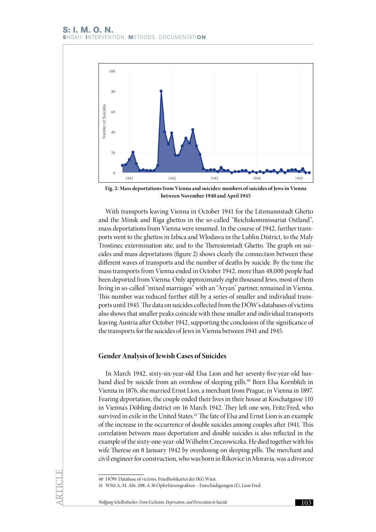

**Fig. 2: Mass deportations from Vienna and suicides: numbers of suicides of Jews in Vienna between November 1940 and April 1945**

With transports leaving Vienna in October 1941 for the Litzmannstadt Ghetto and the Minsk and Riga ghettos in the so-called "Reichskommissariat Ostland", mass deportations from Vienna were resumed. In the course of 1942, further transports went to the ghettos in Izbica and Wlodawa in the Lublin District, to the Maly Trostinec extermination site, and to the Theresienstadt Ghetto. The graph on suicides and mass deportations (figure 2) shows clearly the connection between these different waves of transports and the number of deaths by suicide. By the time the mass transports from Vienna ended in October 1942, more than 48,000 people had been deported from Vienna. Only approximately eight thousand Jews, most of them living in so-called "mixed marriages" with an "Aryan" partner, remained in Vienna. This number was reduced further still by a series of smaller and individual transports until 1945. The data on suicides collected from the DÖW's databases of victims also shows that smaller peaks coincide with these smaller and individual transports leaving Austria after October 1942, supporting the conclusion of the significance of the transports for the suicides of Jews in Vienna between 1941 and 1945.

#### **Gender Analysis of Jewish Cases of Suicides**

In March 1942, sixty-six-year-old Elsa Lion and her seventy-five-year-old husband died by suicide from an overdose of sleeping pills.40 Born Elsa Kornblüh in Vienna in 1876, she married Ernst Lion, a merchant from Prague, in Vienna in 1897. Fearing deportation, the couple ended their lives in their house at Koschatgasse 110 in Vienna's Döbling district on 16 March 1942. They left one son, Fritz/Fred, who survived in exile in the United States.<sup>41</sup> The fate of Elsa and Ernst Lion is an example of the increase in the occurrence of double suicides among couples after 1941. This correlation between mass deportation and double suicides is also reflected in the example of the sixty-one-year-old Wilhelm Czeczowiczka. He died together with his wife Therese on 8 January 1942 by overdosing on sleeping pills. The merchant and civil engineer for construction, who was born in Říkovice in Moravia, was a divorcee

<sup>40</sup> DÖW Database of victims; Friedhofskartei der IKG Wien.

<sup>41</sup> WStLA, M. Abt. 208, A 36 Opferfürsorgeakten – Entschädigungen (E), Lion Fred.

*Wolfgang Schellenbacher: From Exclusion, Deprivation, and Persecution to Suicide* 103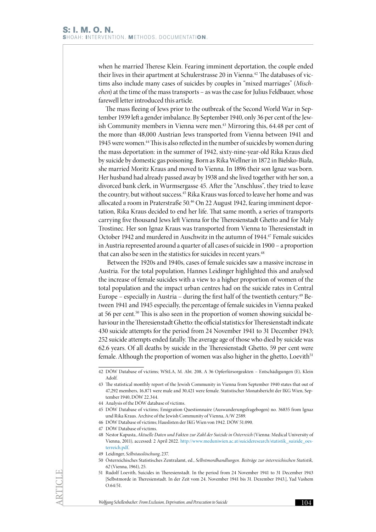when he married Therese Klein. Fearing imminent deportation, the couple ended their lives in their apartment at Schulerstrasse 20 in Vienna.<sup>42</sup> The databases of victims also include many cases of suicides by couples in "mixed marriages" (*Mischehen*) at the time of the mass transports – as was the case for Julius Feldbauer, whose farewell letter introduced this article.

The mass fleeing of Jews prior to the outbreak of the Second World War in September 1939 left a gender imbalance. By September 1940, only 36 per cent of the Jewish Community members in Vienna were men.<sup>43</sup> Mirroring this, 64.48 per cent of the more than 48,000 Austrian Jews transported from Vienna between 1941 and 1945 were women.44 This is also reflected in the number of suicides by women during the mass deportation: in the summer of 1942, sixty-nine-year-old Rika Kraus died by suicide by domestic gas poisoning. Born as Rika Wellner in 1872 in Bielsko-Biała, she married Moritz Kraus and moved to Vienna. In 1896 their son Ignaz was born. Her husband had already passed away by 1938 and she lived together with her son, a divorced bank clerk, in Wurmsergasse 45. After the "Anschluss", they tried to leave the country, but without success.<sup>45</sup> Rika Kraus was forced to leave her home and was allocated a room in Praterstraße 50.46 On 22 August 1942, fearing imminent deportation, Rika Kraus decided to end her life. That same month, a series of transports carrying five thousand Jews left Vienna for the Theresienstadt Ghetto and for Maly Trostinec. Her son Ignaz Kraus was transported from Vienna to Theresienstadt in October 1942 and murdered in Auschwitz in the autumn of 1944.<sup>47</sup> Female suicides in Austria represented around a quarter of all cases of suicide in 1900 – a proportion that can also be seen in the statistics for suicides in recent years.<sup>48</sup>

 Between the 1920s and 1940s, cases of female suicides saw a massive increase in Austria. For the total population, Hannes Leidinger highlighted this and analysed the increase of female suicides with a view to a higher proportion of women of the total population and the impact urban centres had on the suicide rates in Central Europe – especially in Austria – during the first half of the twentieth century.49 Between 1941 and 1945 especially, the percentage of female suicides in Vienna peaked at 56 per cent.<sup>50</sup> This is also seen in the proportion of women showing suicidal behaviour in the Theresienstadt Ghetto: the official statistics for Theresienstadt indicate 430 suicide attempts for the period from 24 November 1941 to 31 December 1943; 252 suicide attempts ended fatally. The average age of those who died by suicide was 62.6 years. Of all deaths by suicide in the Theresienstadt Ghetto, 59 per cent were female. Although the proportion of women was also higher in the ghetto, Loevith<sup>51</sup>

<sup>42</sup> DÖW Database of victims; WStLA, M. Abt. 208, A 36 Opferfürsorgeakten – Entschädigungen (E), Klein Adolf.

<sup>43</sup> The statistical monthly report of the Jewish Community in Vienna from September 1940 states that out of 47,292 members, 16,871 were male and 30,421 were female. Statistischer Monatsbericht der IKG Wien, September 1940, DÖW 22.344.

<sup>44</sup> Analysis of the DÖW database of victims.

<sup>45</sup> DÖW Database of victims; Emigration Questionnaire (Auswanderungsfragebogen) no. 36835 from Ignaz und Rika Kraus. Archive of the Jewish Community of Vienna, A/W 2589.

<sup>46</sup> DÖW Database of victims; Hauslisten der IKG Wien von 1942. DÖW 51.090.

<sup>47</sup> DÖW Database of victims.

<sup>48</sup> Nestor Kapusta, *Aktuelle Daten und Fakten zur Zahl der Suizide in Österreich* (Vienna: Medical University of Vienna, 2011), accessed: 2 April 2022. [http://www.meduniwien.ac.at/suicideresearch/statistik\\_suizide\\_oes](http://www.meduniwien.ac.at/suicideresearch/statistik_suizide_oesterreich.pdf)terreich pdf.

<sup>49</sup> Leidinger, *Selbstauslöschung*, 237.

<sup>50</sup> Österreichisches Statistisches Zentralamt, ed., *Selbstmordhandlungen. Beiträge zur österreichischen Statistik, 62* (Vienna, 1961), 25.

<sup>51</sup> Rudolf Loevith, Suicides in Theresienstadt. In the period from 24 November 1941 to 31 December 1943 [Selbstmorde in Theresienstadt. In der Zeit vom 24. November 1941 bis 31. Dezember 1943.], Yad Vashem O.64/51.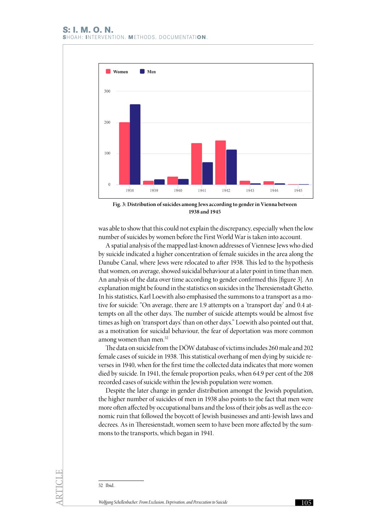

**Fig. 3: Distribution of suicides among Jews according to gender in Vienna between 1938 and 1945**

was able to show that this could not explain the discrepancy, especially when the low number of suicides by women before the First World War is taken into account.

A spatial analysis of the mapped last-known addresses of Viennese Jews who died by suicide indicated a higher concentration of female suicides in the area along the Danube Canal, where Jews were relocated to after 1938. This led to the hypothesis that women, on average, showed suicidal behaviour at a later point in time than men. An analysis of the data over time according to gender confirmed this [figure 3]. An explanation might be found in the statistics on suicides in the Theresienstadt Ghetto. In his statistics, Karl Loewith also emphasised the summons to a transport as a motive for suicide: "On average, there are 1.9 attempts on a 'transport day' and 0.4 attempts on all the other days. The number of suicide attempts would be almost five times as high on 'transport days' than on other days." Loewith also pointed out that, as a motivation for suicidal behaviour, the fear of deportation was more common among women than men.<sup>52</sup>

The data on suicide from the DÖW database of victims includes 260 male and 202 female cases of suicide in 1938. This statistical overhang of men dying by suicide reverses in 1940, when for the first time the collected data indicates that more women died by suicide. In 1941, the female proportion peaks, when 64.9 per cent of the 208 recorded cases of suicide within the Jewish population were women.

Despite the later change in gender distribution amongst the Jewish population, the higher number of suicides of men in 1938 also points to the fact that men were more often affected by occupational bans and the loss of their jobs as well as the economic ruin that followed the boycott of Jewish businesses and anti-Jewish laws and decrees. As in Theresienstadt, women seem to have been more affected by the summons to the transports, which began in 1941.

52 Ibid.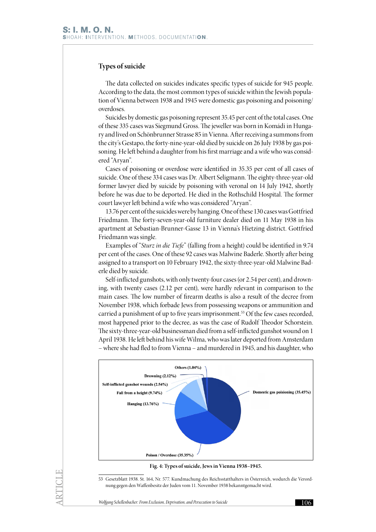## **Types of suicide**

The data collected on suicides indicates specific types of suicide for 945 people. According to the data, the most common types of suicide within the Jewish population of Vienna between 1938 and 1945 were domestic gas poisoning and poisoning/ overdoses.

Suicides by domestic gas poisoning represent 35.45 per cent of the total cases. One of these 335 cases was Siegmund Gross. The jeweller was born in Komádi in Hungary and lived on Schönbrunner Strasse 85 in Vienna. After receiving a summons from the city's Gestapo, the forty-nine-year-old died by suicide on 26 July 1938 by gas poisoning. He left behind a daughter from his first marriage and a wife who was considered "Aryan".

Cases of poisoning or overdose were identified in 35.35 per cent of all cases of suicide. One of these 334 cases was Dr. Albert Seligmann. The eighty-three-year-old former lawyer died by suicide by poisoning with veronal on 14 July 1942, shortly before he was due to be deported. He died in the Rothschild Hospital. The former court lawyer left behind a wife who was considered "Aryan".

13.76 per cent of the suicides were by hanging. One of these 130 cases was Gottfried Friedmann. The forty-seven-year-old furniture dealer died on 11 May 1938 in his apartment at Sebastian-Brunner-Gasse 13 in Vienna's Hietzing district. Gottfried Friedmann was single.

Examples of "*Sturz in die Tiefe*" (falling from a height) could be identified in 9.74 per cent of the cases. One of these 92 cases was Malwine Baderle. Shortly after being assigned to a transport on 10 February 1942, the sixty-three-year-old Malwine Baderle died by suicide.

Self-inflicted gunshots, with only twenty-four cases (or 2.54 per cent), and drowning, with twenty cases (2.12 per cent), were hardly relevant in comparison to the main cases. The low number of firearm deaths is also a result of the decree from November 1938, which forbade Jews from possessing weapons or ammunition and carried a punishment of up to five years imprisonment.<sup>53</sup> Of the few cases recorded, most happened prior to the decree, as was the case of Rudolf Theodor Schorstein. The sixty-three-year-old businessman died from a self-inflicted gunshot wound on 1 April 1938. He left behind his wife Wilma, who was later deported from Amsterdam – where she had fled to from Vienna – and murdered in 1945, and his daughter, who



**Fig. 4: Types of suicide, Jews in Vienna 1938–1945.**

53 Gesetzblatt 1938. St. 164, Nr. 577. Kundmachung des Reichsstatthalters in Österreich, wodurch die Verordnung gegen den Waffenbesitz der Juden vom 11. November 1938 bekanntgemacht wird.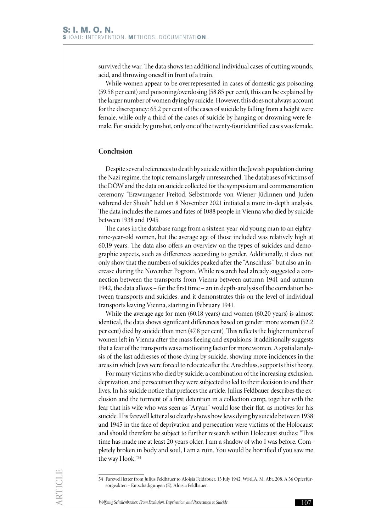survived the war. The data shows ten additional individual cases of cutting wounds, acid, and throwing oneself in front of a train.

While women appear to be overrepresented in cases of domestic gas poisoning (59.58 per cent) and poisoning/overdosing (58.85 per cent), this can be explained by the larger number of women dying by suicide. However, this does not always account for the discrepancy: 65.2 per cent of the cases of suicide by falling from a height were female, while only a third of the cases of suicide by hanging or drowning were female. For suicide by gunshot, only one of the twenty-four identified cases was female.

## **Conclusion**

Despite several references to death by suicide within the Jewish population during the Nazi regime, the topic remains largely unresearched. The databases of victims of the DÖW and the data on suicide collected for the symposium and commemoration ceremony "Erzwungener Freitod. Selbstmorde von Wiener Jüdinnen und Juden während der Shoah" held on 8 November 2021 initiated a more in-depth analysis. The data includes the names and fates of 1088 people in Vienna who died by suicide between 1938 and 1945.

The cases in the database range from a sixteen-year-old young man to an eightynine-year-old women, but the average age of those included was relatively high at 60.19 years. The data also offers an overview on the types of suicides and demographic aspects, such as differences according to gender. Additionally, it does not only show that the numbers of suicides peaked after the "Anschluss", but also an increase during the November Pogrom. While research had already suggested a connection between the transports from Vienna between autumn 1941 and autumn 1942, the data allows – for the first time – an in depth-analysis of the correlation between transports and suicides, and it demonstrates this on the level of individual transports leaving Vienna, starting in February 1941.

While the average age for men (60.18 years) and women (60.20 years) is almost identical, the data shows significant differences based on gender: more women (52.2 per cent) died by suicide than men (47.8 per cent). This reflects the higher number of women left in Vienna after the mass fleeing and expulsions; it additionally suggests that a fear of the transports was a motivating factor for more women. A spatial analysis of the last addresses of those dying by suicide, showing more incidences in the areas in which Jews were forced to relocate after the Anschluss, supports this theory.

For many victims who died by suicide, a combination of the increasing exclusion, deprivation, and persecution they were subjected to led to their decision to end their lives. In his suicide notice that prefaces the article, Julius Feldbauer describes the exclusion and the torment of a first detention in a collection camp, together with the fear that his wife who was seen as "Aryan" would lose their flat, as motives for his suicide. His farewell letter also clearly shows how Jews dying by suicide between 1938 and 1945 in the face of deprivation and persecution were victims of the Holocaust and should therefore be subject to further research within Holocaust studies: "This time has made me at least 20 years older, I am a shadow of who I was before. Completely broken in body and soul, I am a ruin. You would be horrified if you saw me the way I look."54

<sup>54</sup> Farewell letter from Julius Feldbauer to Aloisia Feldabuer, 13 July 1942. WStLA, M. Abt. 208, A 36 Opferfürsorgeakten – Entschädigungen (E), Aloisia Feldbauer.

*Wolfgang Schellenbacher: From Exclusion, Deprivation, and Persecution to Suicide* 107